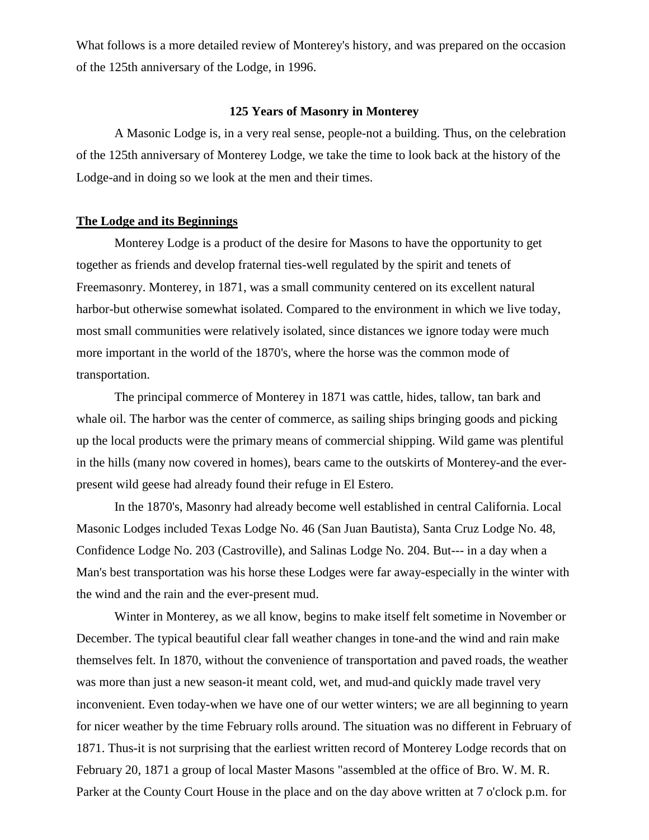What follows is a more detailed review of Monterey's history, and was prepared on the occasion of the 125th anniversary of the Lodge, in 1996.

#### **125 Years of Masonry in Monterey**

A Masonic Lodge is, in a very real sense, people-not a building. Thus, on the celebration of the 125th anniversary of Monterey Lodge, we take the time to look back at the history of the Lodge-and in doing so we look at the men and their times.

## **The Lodge and its Beginnings**

Monterey Lodge is a product of the desire for Masons to have the opportunity to get together as friends and develop fraternal ties-well regulated by the spirit and tenets of Freemasonry. Monterey, in 1871, was a small community centered on its excellent natural harbor-but otherwise somewhat isolated. Compared to the environment in which we live today, most small communities were relatively isolated, since distances we ignore today were much more important in the world of the 1870's, where the horse was the common mode of transportation.

The principal commerce of Monterey in 1871 was cattle, hides, tallow, tan bark and whale oil. The harbor was the center of commerce, as sailing ships bringing goods and picking up the local products were the primary means of commercial shipping. Wild game was plentiful in the hills (many now covered in homes), bears came to the outskirts of Monterey-and the everpresent wild geese had already found their refuge in El Estero.

In the 1870's, Masonry had already become well established in central California. Local Masonic Lodges included Texas Lodge No. 46 (San Juan Bautista), Santa Cruz Lodge No. 48, Confidence Lodge No. 203 (Castroville), and Salinas Lodge No. 204. But--- in a day when a Man's best transportation was his horse these Lodges were far away-especially in the winter with the wind and the rain and the ever-present mud.

Winter in Monterey, as we all know, begins to make itself felt sometime in November or December. The typical beautiful clear fall weather changes in tone-and the wind and rain make themselves felt. In 1870, without the convenience of transportation and paved roads, the weather was more than just a new season-it meant cold, wet, and mud-and quickly made travel very inconvenient. Even today-when we have one of our wetter winters; we are all beginning to yearn for nicer weather by the time February rolls around. The situation was no different in February of 1871. Thus-it is not surprising that the earliest written record of Monterey Lodge records that on February 20, 1871 a group of local Master Masons "assembled at the office of Bro. W. M. R. Parker at the County Court House in the place and on the day above written at 7 o'clock p.m. for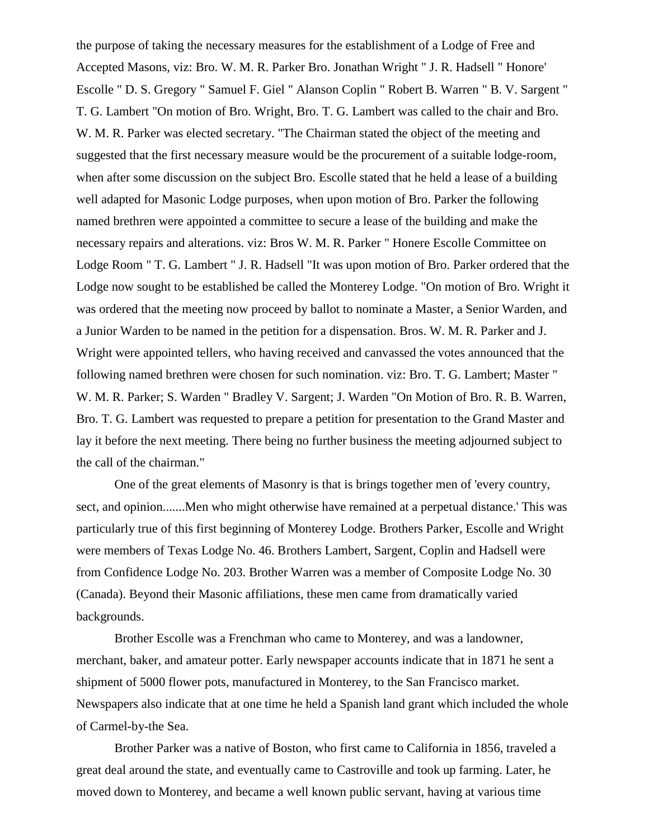the purpose of taking the necessary measures for the establishment of a Lodge of Free and Accepted Masons, viz: Bro. W. M. R. Parker Bro. Jonathan Wright " J. R. Hadsell " Honore' Escolle " D. S. Gregory " Samuel F. Giel " Alanson Coplin " Robert B. Warren " B. V. Sargent " T. G. Lambert "On motion of Bro. Wright, Bro. T. G. Lambert was called to the chair and Bro. W. M. R. Parker was elected secretary. "The Chairman stated the object of the meeting and suggested that the first necessary measure would be the procurement of a suitable lodge-room, when after some discussion on the subject Bro. Escolle stated that he held a lease of a building well adapted for Masonic Lodge purposes, when upon motion of Bro. Parker the following named brethren were appointed a committee to secure a lease of the building and make the necessary repairs and alterations. viz: Bros W. M. R. Parker " Honere Escolle Committee on Lodge Room " T. G. Lambert " J. R. Hadsell "It was upon motion of Bro. Parker ordered that the Lodge now sought to be established be called the Monterey Lodge. "On motion of Bro. Wright it was ordered that the meeting now proceed by ballot to nominate a Master, a Senior Warden, and a Junior Warden to be named in the petition for a dispensation. Bros. W. M. R. Parker and J. Wright were appointed tellers, who having received and canvassed the votes announced that the following named brethren were chosen for such nomination. viz: Bro. T. G. Lambert; Master " W. M. R. Parker; S. Warden " Bradley V. Sargent; J. Warden "On Motion of Bro. R. B. Warren, Bro. T. G. Lambert was requested to prepare a petition for presentation to the Grand Master and lay it before the next meeting. There being no further business the meeting adjourned subject to the call of the chairman."

One of the great elements of Masonry is that is brings together men of 'every country, sect, and opinion.......Men who might otherwise have remained at a perpetual distance.' This was particularly true of this first beginning of Monterey Lodge. Brothers Parker, Escolle and Wright were members of Texas Lodge No. 46. Brothers Lambert, Sargent, Coplin and Hadsell were from Confidence Lodge No. 203. Brother Warren was a member of Composite Lodge No. 30 (Canada). Beyond their Masonic affiliations, these men came from dramatically varied backgrounds.

Brother Escolle was a Frenchman who came to Monterey, and was a landowner, merchant, baker, and amateur potter. Early newspaper accounts indicate that in 1871 he sent a shipment of 5000 flower pots, manufactured in Monterey, to the San Francisco market. Newspapers also indicate that at one time he held a Spanish land grant which included the whole of Carmel-by-the Sea.

Brother Parker was a native of Boston, who first came to California in 1856, traveled a great deal around the state, and eventually came to Castroville and took up farming. Later, he moved down to Monterey, and became a well known public servant, having at various time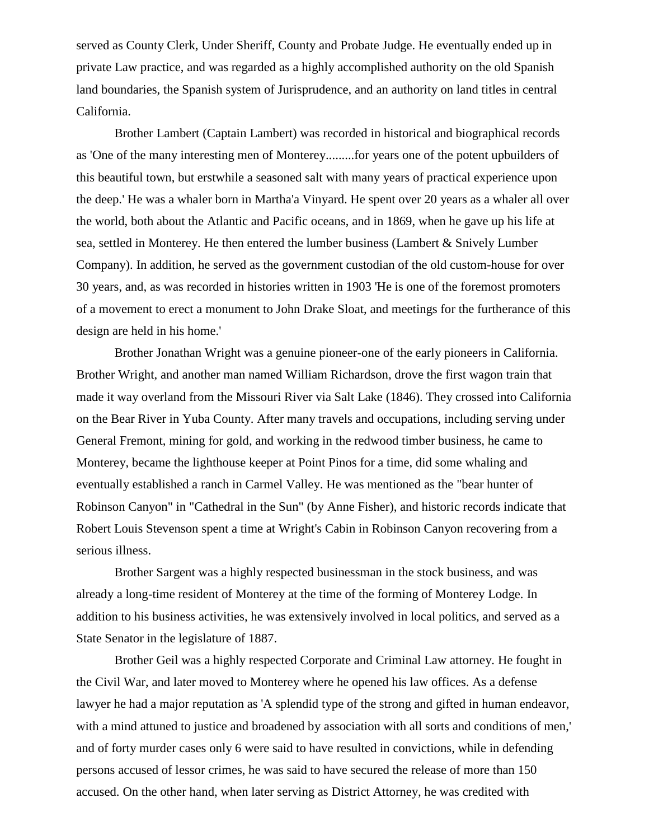served as County Clerk, Under Sheriff, County and Probate Judge. He eventually ended up in private Law practice, and was regarded as a highly accomplished authority on the old Spanish land boundaries, the Spanish system of Jurisprudence, and an authority on land titles in central California.

Brother Lambert (Captain Lambert) was recorded in historical and biographical records as 'One of the many interesting men of Monterey.........for years one of the potent upbuilders of this beautiful town, but erstwhile a seasoned salt with many years of practical experience upon the deep.' He was a whaler born in Martha'a Vinyard. He spent over 20 years as a whaler all over the world, both about the Atlantic and Pacific oceans, and in 1869, when he gave up his life at sea, settled in Monterey. He then entered the lumber business (Lambert & Snively Lumber Company). In addition, he served as the government custodian of the old custom-house for over 30 years, and, as was recorded in histories written in 1903 'He is one of the foremost promoters of a movement to erect a monument to John Drake Sloat, and meetings for the furtherance of this design are held in his home.'

Brother Jonathan Wright was a genuine pioneer-one of the early pioneers in California. Brother Wright, and another man named William Richardson, drove the first wagon train that made it way overland from the Missouri River via Salt Lake (1846). They crossed into California on the Bear River in Yuba County. After many travels and occupations, including serving under General Fremont, mining for gold, and working in the redwood timber business, he came to Monterey, became the lighthouse keeper at Point Pinos for a time, did some whaling and eventually established a ranch in Carmel Valley. He was mentioned as the "bear hunter of Robinson Canyon" in "Cathedral in the Sun" (by Anne Fisher), and historic records indicate that Robert Louis Stevenson spent a time at Wright's Cabin in Robinson Canyon recovering from a serious illness.

Brother Sargent was a highly respected businessman in the stock business, and was already a long-time resident of Monterey at the time of the forming of Monterey Lodge. In addition to his business activities, he was extensively involved in local politics, and served as a State Senator in the legislature of 1887.

Brother Geil was a highly respected Corporate and Criminal Law attorney. He fought in the Civil War, and later moved to Monterey where he opened his law offices. As a defense lawyer he had a major reputation as 'A splendid type of the strong and gifted in human endeavor, with a mind attuned to justice and broadened by association with all sorts and conditions of men,' and of forty murder cases only 6 were said to have resulted in convictions, while in defending persons accused of lessor crimes, he was said to have secured the release of more than 150 accused. On the other hand, when later serving as District Attorney, he was credited with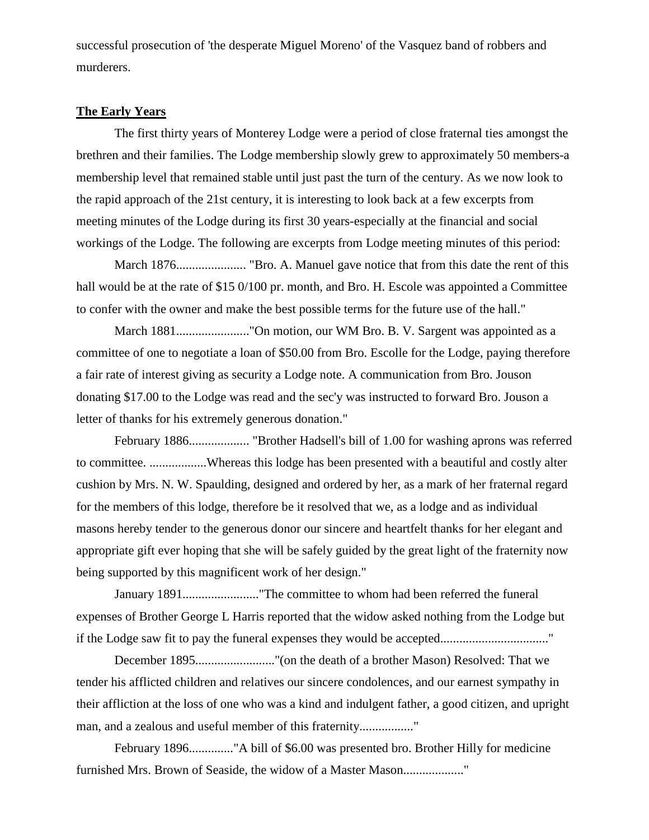successful prosecution of 'the desperate Miguel Moreno' of the Vasquez band of robbers and murderers.

#### **The Early Years**

The first thirty years of Monterey Lodge were a period of close fraternal ties amongst the brethren and their families. The Lodge membership slowly grew to approximately 50 members-a membership level that remained stable until just past the turn of the century. As we now look to the rapid approach of the 21st century, it is interesting to look back at a few excerpts from meeting minutes of the Lodge during its first 30 years-especially at the financial and social workings of the Lodge. The following are excerpts from Lodge meeting minutes of this period:

March 1876...................... "Bro. A. Manuel gave notice that from this date the rent of this hall would be at the rate of \$15 0/100 pr. month, and Bro. H. Escole was appointed a Committee to confer with the owner and make the best possible terms for the future use of the hall."

March 1881......................."On motion, our WM Bro. B. V. Sargent was appointed as a committee of one to negotiate a loan of \$50.00 from Bro. Escolle for the Lodge, paying therefore a fair rate of interest giving as security a Lodge note. A communication from Bro. Jouson donating \$17.00 to the Lodge was read and the sec'y was instructed to forward Bro. Jouson a letter of thanks for his extremely generous donation."

February 1886................... "Brother Hadsell's bill of 1.00 for washing aprons was referred to committee. ..................Whereas this lodge has been presented with a beautiful and costly alter cushion by Mrs. N. W. Spaulding, designed and ordered by her, as a mark of her fraternal regard for the members of this lodge, therefore be it resolved that we, as a lodge and as individual masons hereby tender to the generous donor our sincere and heartfelt thanks for her elegant and appropriate gift ever hoping that she will be safely guided by the great light of the fraternity now being supported by this magnificent work of her design."

January 1891........................"The committee to whom had been referred the funeral expenses of Brother George L Harris reported that the widow asked nothing from the Lodge but if the Lodge saw fit to pay the funeral expenses they would be accepted.................................."

December 1895........................."(on the death of a brother Mason) Resolved: That we tender his afflicted children and relatives our sincere condolences, and our earnest sympathy in their affliction at the loss of one who was a kind and indulgent father, a good citizen, and upright man, and a zealous and useful member of this fraternity................."

February 1896.............."A bill of \$6.00 was presented bro. Brother Hilly for medicine furnished Mrs. Brown of Seaside, the widow of a Master Mason...................."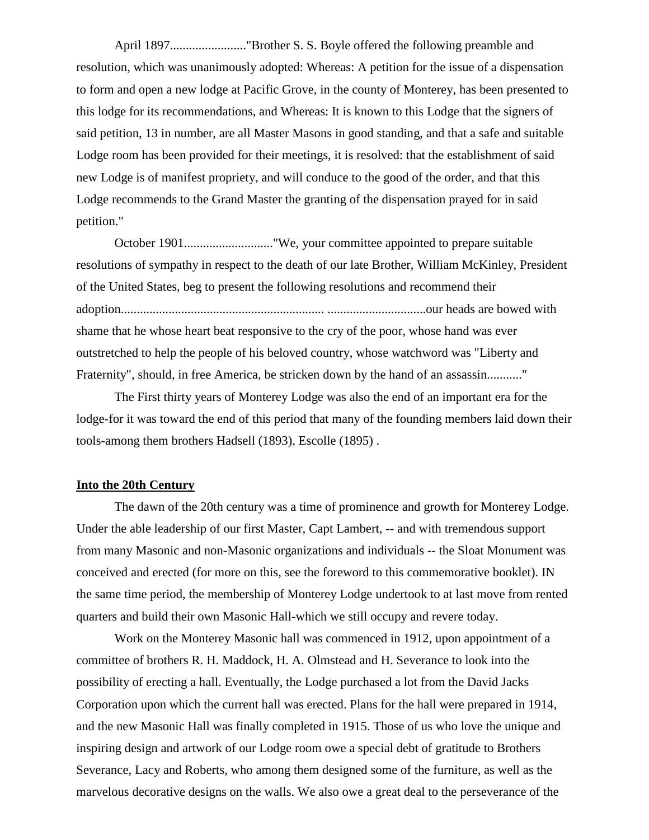April 1897........................"Brother S. S. Boyle offered the following preamble and resolution, which was unanimously adopted: Whereas: A petition for the issue of a dispensation to form and open a new lodge at Pacific Grove, in the county of Monterey, has been presented to this lodge for its recommendations, and Whereas: It is known to this Lodge that the signers of said petition, 13 in number, are all Master Masons in good standing, and that a safe and suitable Lodge room has been provided for their meetings, it is resolved: that the establishment of said new Lodge is of manifest propriety, and will conduce to the good of the order, and that this Lodge recommends to the Grand Master the granting of the dispensation prayed for in said petition."

October 1901............................"We, your committee appointed to prepare suitable resolutions of sympathy in respect to the death of our late Brother, William McKinley, President of the United States, beg to present the following resolutions and recommend their adoption................................................................ ...............................our heads are bowed with shame that he whose heart beat responsive to the cry of the poor, whose hand was ever outstretched to help the people of his beloved country, whose watchword was "Liberty and Fraternity", should, in free America, be stricken down by the hand of an assassin..........."

The First thirty years of Monterey Lodge was also the end of an important era for the lodge-for it was toward the end of this period that many of the founding members laid down their tools-among them brothers Hadsell (1893), Escolle (1895) .

#### **Into the 20th Century**

The dawn of the 20th century was a time of prominence and growth for Monterey Lodge. Under the able leadership of our first Master, Capt Lambert, -- and with tremendous support from many Masonic and non-Masonic organizations and individuals -- the Sloat Monument was conceived and erected (for more on this, see the foreword to this commemorative booklet). IN the same time period, the membership of Monterey Lodge undertook to at last move from rented quarters and build their own Masonic Hall-which we still occupy and revere today.

Work on the Monterey Masonic hall was commenced in 1912, upon appointment of a committee of brothers R. H. Maddock, H. A. Olmstead and H. Severance to look into the possibility of erecting a hall. Eventually, the Lodge purchased a lot from the David Jacks Corporation upon which the current hall was erected. Plans for the hall were prepared in 1914, and the new Masonic Hall was finally completed in 1915. Those of us who love the unique and inspiring design and artwork of our Lodge room owe a special debt of gratitude to Brothers Severance, Lacy and Roberts, who among them designed some of the furniture, as well as the marvelous decorative designs on the walls. We also owe a great deal to the perseverance of the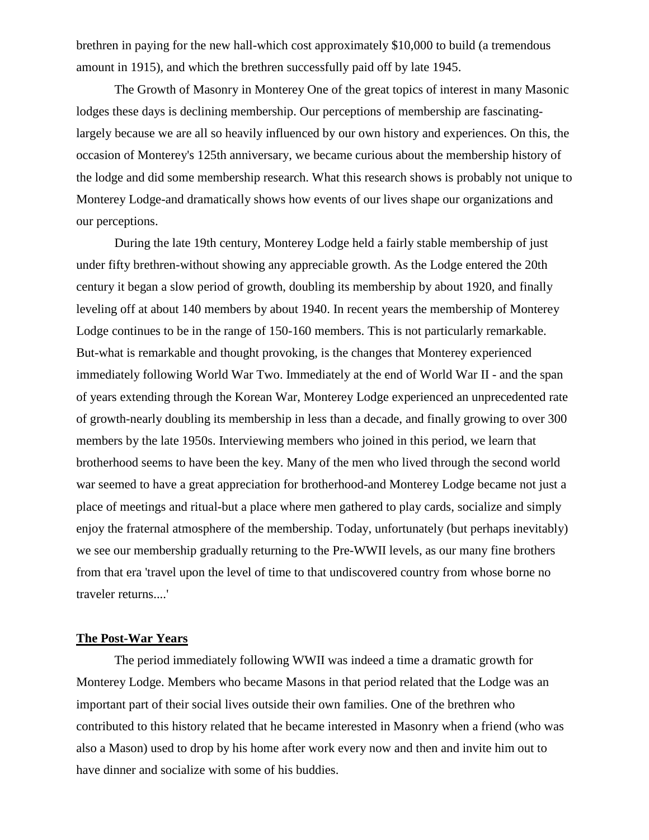brethren in paying for the new hall-which cost approximately \$10,000 to build (a tremendous amount in 1915), and which the brethren successfully paid off by late 1945.

The Growth of Masonry in Monterey One of the great topics of interest in many Masonic lodges these days is declining membership. Our perceptions of membership are fascinatinglargely because we are all so heavily influenced by our own history and experiences. On this, the occasion of Monterey's 125th anniversary, we became curious about the membership history of the lodge and did some membership research. What this research shows is probably not unique to Monterey Lodge-and dramatically shows how events of our lives shape our organizations and our perceptions.

During the late 19th century, Monterey Lodge held a fairly stable membership of just under fifty brethren-without showing any appreciable growth. As the Lodge entered the 20th century it began a slow period of growth, doubling its membership by about 1920, and finally leveling off at about 140 members by about 1940. In recent years the membership of Monterey Lodge continues to be in the range of 150-160 members. This is not particularly remarkable. But-what is remarkable and thought provoking, is the changes that Monterey experienced immediately following World War Two. Immediately at the end of World War II - and the span of years extending through the Korean War, Monterey Lodge experienced an unprecedented rate of growth-nearly doubling its membership in less than a decade, and finally growing to over 300 members by the late 1950s. Interviewing members who joined in this period, we learn that brotherhood seems to have been the key. Many of the men who lived through the second world war seemed to have a great appreciation for brotherhood-and Monterey Lodge became not just a place of meetings and ritual-but a place where men gathered to play cards, socialize and simply enjoy the fraternal atmosphere of the membership. Today, unfortunately (but perhaps inevitably) we see our membership gradually returning to the Pre-WWII levels, as our many fine brothers from that era 'travel upon the level of time to that undiscovered country from whose borne no traveler returns....'

### **The Post-War Years**

The period immediately following WWII was indeed a time a dramatic growth for Monterey Lodge. Members who became Masons in that period related that the Lodge was an important part of their social lives outside their own families. One of the brethren who contributed to this history related that he became interested in Masonry when a friend (who was also a Mason) used to drop by his home after work every now and then and invite him out to have dinner and socialize with some of his buddies.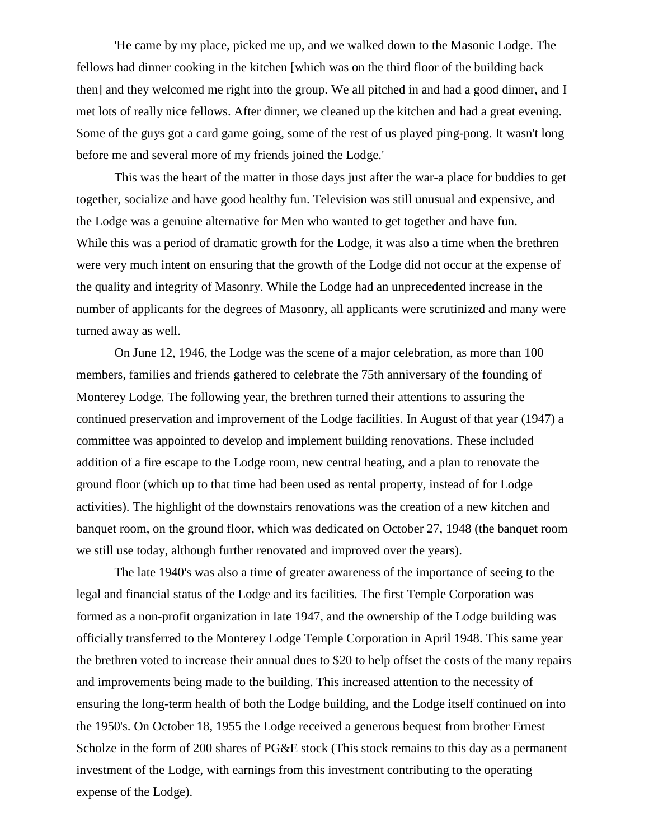'He came by my place, picked me up, and we walked down to the Masonic Lodge. The fellows had dinner cooking in the kitchen [which was on the third floor of the building back then] and they welcomed me right into the group. We all pitched in and had a good dinner, and I met lots of really nice fellows. After dinner, we cleaned up the kitchen and had a great evening. Some of the guys got a card game going, some of the rest of us played ping-pong. It wasn't long before me and several more of my friends joined the Lodge.'

This was the heart of the matter in those days just after the war-a place for buddies to get together, socialize and have good healthy fun. Television was still unusual and expensive, and the Lodge was a genuine alternative for Men who wanted to get together and have fun. While this was a period of dramatic growth for the Lodge, it was also a time when the brethren were very much intent on ensuring that the growth of the Lodge did not occur at the expense of the quality and integrity of Masonry. While the Lodge had an unprecedented increase in the number of applicants for the degrees of Masonry, all applicants were scrutinized and many were turned away as well.

On June 12, 1946, the Lodge was the scene of a major celebration, as more than 100 members, families and friends gathered to celebrate the 75th anniversary of the founding of Monterey Lodge. The following year, the brethren turned their attentions to assuring the continued preservation and improvement of the Lodge facilities. In August of that year (1947) a committee was appointed to develop and implement building renovations. These included addition of a fire escape to the Lodge room, new central heating, and a plan to renovate the ground floor (which up to that time had been used as rental property, instead of for Lodge activities). The highlight of the downstairs renovations was the creation of a new kitchen and banquet room, on the ground floor, which was dedicated on October 27, 1948 (the banquet room we still use today, although further renovated and improved over the years).

The late 1940's was also a time of greater awareness of the importance of seeing to the legal and financial status of the Lodge and its facilities. The first Temple Corporation was formed as a non-profit organization in late 1947, and the ownership of the Lodge building was officially transferred to the Monterey Lodge Temple Corporation in April 1948. This same year the brethren voted to increase their annual dues to \$20 to help offset the costs of the many repairs and improvements being made to the building. This increased attention to the necessity of ensuring the long-term health of both the Lodge building, and the Lodge itself continued on into the 1950's. On October 18, 1955 the Lodge received a generous bequest from brother Ernest Scholze in the form of 200 shares of PG&E stock (This stock remains to this day as a permanent investment of the Lodge, with earnings from this investment contributing to the operating expense of the Lodge).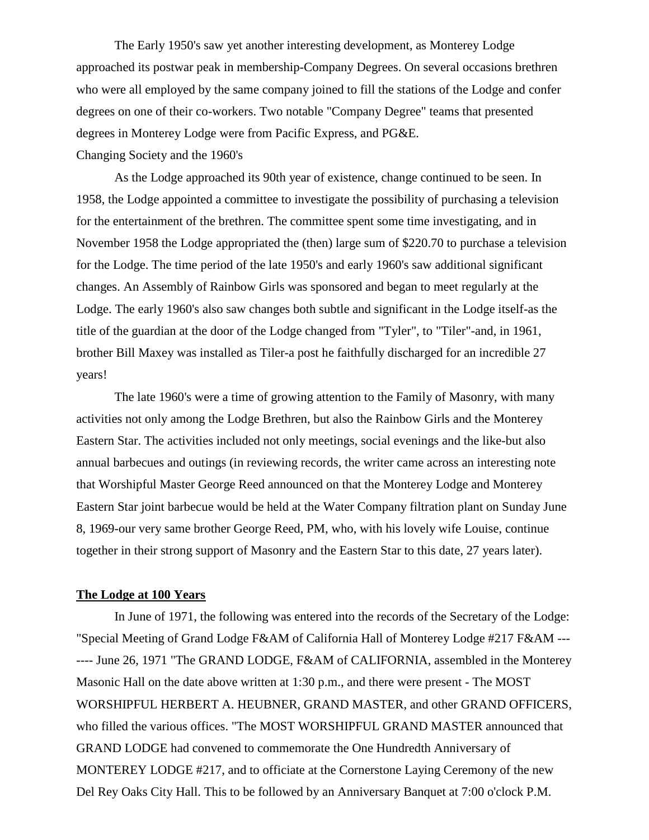The Early 1950's saw yet another interesting development, as Monterey Lodge approached its postwar peak in membership-Company Degrees. On several occasions brethren who were all employed by the same company joined to fill the stations of the Lodge and confer degrees on one of their co-workers. Two notable "Company Degree" teams that presented degrees in Monterey Lodge were from Pacific Express, and PG&E.

Changing Society and the 1960's

As the Lodge approached its 90th year of existence, change continued to be seen. In 1958, the Lodge appointed a committee to investigate the possibility of purchasing a television for the entertainment of the brethren. The committee spent some time investigating, and in November 1958 the Lodge appropriated the (then) large sum of \$220.70 to purchase a television for the Lodge. The time period of the late 1950's and early 1960's saw additional significant changes. An Assembly of Rainbow Girls was sponsored and began to meet regularly at the Lodge. The early 1960's also saw changes both subtle and significant in the Lodge itself-as the title of the guardian at the door of the Lodge changed from "Tyler", to "Tiler"-and, in 1961, brother Bill Maxey was installed as Tiler-a post he faithfully discharged for an incredible 27 years!

The late 1960's were a time of growing attention to the Family of Masonry, with many activities not only among the Lodge Brethren, but also the Rainbow Girls and the Monterey Eastern Star. The activities included not only meetings, social evenings and the like-but also annual barbecues and outings (in reviewing records, the writer came across an interesting note that Worshipful Master George Reed announced on that the Monterey Lodge and Monterey Eastern Star joint barbecue would be held at the Water Company filtration plant on Sunday June 8, 1969-our very same brother George Reed, PM, who, with his lovely wife Louise, continue together in their strong support of Masonry and the Eastern Star to this date, 27 years later).

## **The Lodge at 100 Years**

In June of 1971, the following was entered into the records of the Secretary of the Lodge: "Special Meeting of Grand Lodge F&AM of California Hall of Monterey Lodge #217 F&AM --- ---- June 26, 1971 "The GRAND LODGE, F&AM of CALIFORNIA, assembled in the Monterey Masonic Hall on the date above written at 1:30 p.m., and there were present - The MOST WORSHIPFUL HERBERT A. HEUBNER, GRAND MASTER, and other GRAND OFFICERS, who filled the various offices. "The MOST WORSHIPFUL GRAND MASTER announced that GRAND LODGE had convened to commemorate the One Hundredth Anniversary of MONTEREY LODGE #217, and to officiate at the Cornerstone Laying Ceremony of the new Del Rey Oaks City Hall. This to be followed by an Anniversary Banquet at 7:00 o'clock P.M.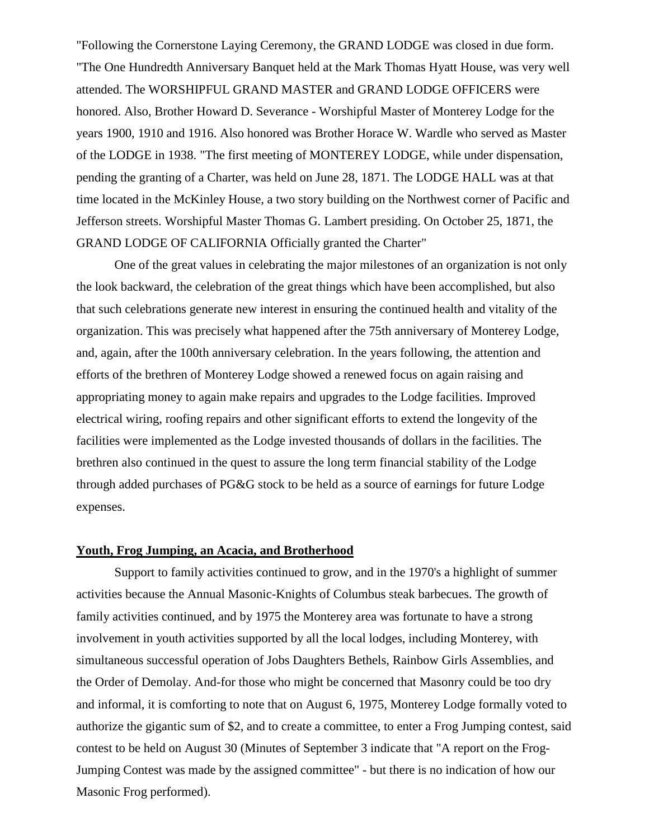"Following the Cornerstone Laying Ceremony, the GRAND LODGE was closed in due form. "The One Hundredth Anniversary Banquet held at the Mark Thomas Hyatt House, was very well attended. The WORSHIPFUL GRAND MASTER and GRAND LODGE OFFICERS were honored. Also, Brother Howard D. Severance - Worshipful Master of Monterey Lodge for the years 1900, 1910 and 1916. Also honored was Brother Horace W. Wardle who served as Master of the LODGE in 1938. "The first meeting of MONTEREY LODGE, while under dispensation, pending the granting of a Charter, was held on June 28, 1871. The LODGE HALL was at that time located in the McKinley House, a two story building on the Northwest corner of Pacific and Jefferson streets. Worshipful Master Thomas G. Lambert presiding. On October 25, 1871, the GRAND LODGE OF CALIFORNIA Officially granted the Charter"

One of the great values in celebrating the major milestones of an organization is not only the look backward, the celebration of the great things which have been accomplished, but also that such celebrations generate new interest in ensuring the continued health and vitality of the organization. This was precisely what happened after the 75th anniversary of Monterey Lodge, and, again, after the 100th anniversary celebration. In the years following, the attention and efforts of the brethren of Monterey Lodge showed a renewed focus on again raising and appropriating money to again make repairs and upgrades to the Lodge facilities. Improved electrical wiring, roofing repairs and other significant efforts to extend the longevity of the facilities were implemented as the Lodge invested thousands of dollars in the facilities. The brethren also continued in the quest to assure the long term financial stability of the Lodge through added purchases of PG&G stock to be held as a source of earnings for future Lodge expenses.

### **Youth, Frog Jumping, an Acacia, and Brotherhood**

Support to family activities continued to grow, and in the 1970's a highlight of summer activities because the Annual Masonic-Knights of Columbus steak barbecues. The growth of family activities continued, and by 1975 the Monterey area was fortunate to have a strong involvement in youth activities supported by all the local lodges, including Monterey, with simultaneous successful operation of Jobs Daughters Bethels, Rainbow Girls Assemblies, and the Order of Demolay. And-for those who might be concerned that Masonry could be too dry and informal, it is comforting to note that on August 6, 1975, Monterey Lodge formally voted to authorize the gigantic sum of \$2, and to create a committee, to enter a Frog Jumping contest, said contest to be held on August 30 (Minutes of September 3 indicate that "A report on the Frog-Jumping Contest was made by the assigned committee" - but there is no indication of how our Masonic Frog performed).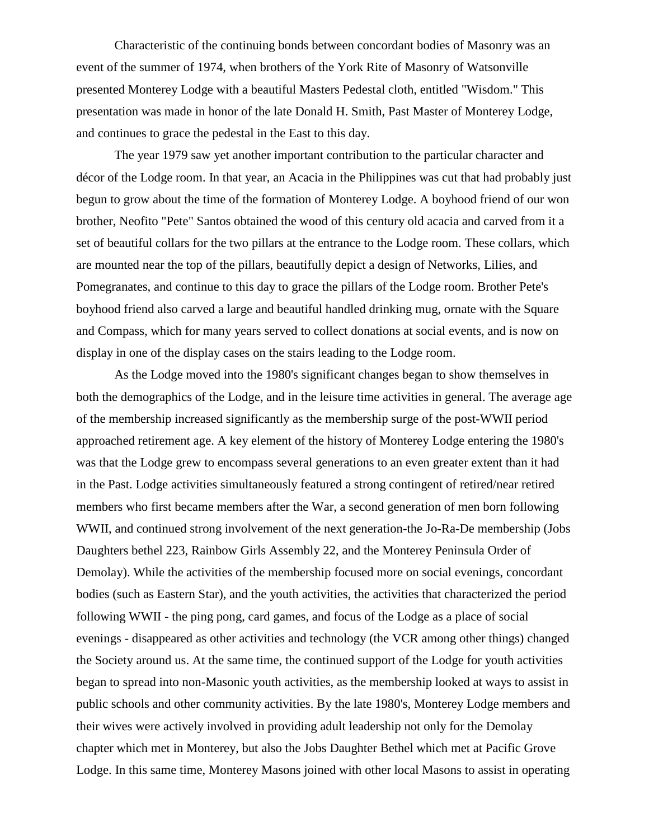Characteristic of the continuing bonds between concordant bodies of Masonry was an event of the summer of 1974, when brothers of the York Rite of Masonry of Watsonville presented Monterey Lodge with a beautiful Masters Pedestal cloth, entitled "Wisdom." This presentation was made in honor of the late Donald H. Smith, Past Master of Monterey Lodge, and continues to grace the pedestal in the East to this day.

The year 1979 saw yet another important contribution to the particular character and décor of the Lodge room. In that year, an Acacia in the Philippines was cut that had probably just begun to grow about the time of the formation of Monterey Lodge. A boyhood friend of our won brother, Neofito "Pete" Santos obtained the wood of this century old acacia and carved from it a set of beautiful collars for the two pillars at the entrance to the Lodge room. These collars, which are mounted near the top of the pillars, beautifully depict a design of Networks, Lilies, and Pomegranates, and continue to this day to grace the pillars of the Lodge room. Brother Pete's boyhood friend also carved a large and beautiful handled drinking mug, ornate with the Square and Compass, which for many years served to collect donations at social events, and is now on display in one of the display cases on the stairs leading to the Lodge room.

As the Lodge moved into the 1980's significant changes began to show themselves in both the demographics of the Lodge, and in the leisure time activities in general. The average age of the membership increased significantly as the membership surge of the post-WWII period approached retirement age. A key element of the history of Monterey Lodge entering the 1980's was that the Lodge grew to encompass several generations to an even greater extent than it had in the Past. Lodge activities simultaneously featured a strong contingent of retired/near retired members who first became members after the War, a second generation of men born following WWII, and continued strong involvement of the next generation-the Jo-Ra-De membership (Jobs Daughters bethel 223, Rainbow Girls Assembly 22, and the Monterey Peninsula Order of Demolay). While the activities of the membership focused more on social evenings, concordant bodies (such as Eastern Star), and the youth activities, the activities that characterized the period following WWII - the ping pong, card games, and focus of the Lodge as a place of social evenings - disappeared as other activities and technology (the VCR among other things) changed the Society around us. At the same time, the continued support of the Lodge for youth activities began to spread into non-Masonic youth activities, as the membership looked at ways to assist in public schools and other community activities. By the late 1980's, Monterey Lodge members and their wives were actively involved in providing adult leadership not only for the Demolay chapter which met in Monterey, but also the Jobs Daughter Bethel which met at Pacific Grove Lodge. In this same time, Monterey Masons joined with other local Masons to assist in operating